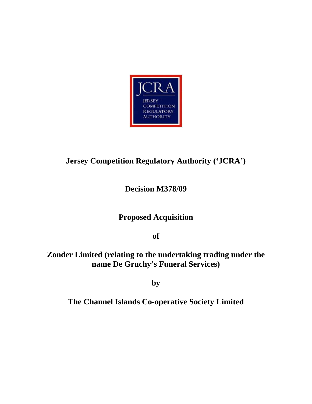

# **Jersey Competition Regulatory Authority ('JCRA')**

# **Decision M378/09**

# **Proposed Acquisition**

**of** 

### **Zonder Limited (relating to the undertaking trading under the name De Gruchy's Funeral Services)**

**by** 

# **The Channel Islands Co-operative Society Limited**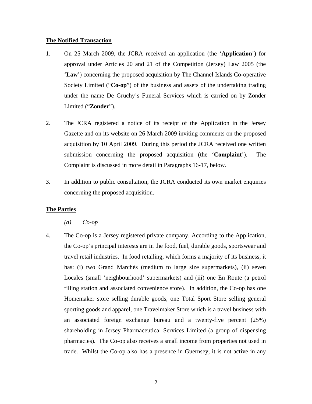#### **The Notified Transaction**

- 1. On 25 March 2009, the JCRA received an application (the '**Application**') for approval under Articles 20 and 21 of the Competition (Jersey) Law 2005 (the '**Law**') concerning the proposed acquisition by The Channel Islands Co-operative Society Limited ("**Co-op**") of the business and assets of the undertaking trading under the name De Gruchy's Funeral Services which is carried on by Zonder Limited ("**Zonder**").
- 2. The JCRA registered a notice of its receipt of the Application in the Jersey Gazette and on its website on 26 March 2009 inviting comments on the proposed acquisition by 10 April 2009. During this period the JCRA received one written submission concerning the proposed acquisition (the '**Complaint**'). The Complaint is discussed in more detail in Paragraphs 16-17, below.
- 3. In addition to public consultation, the JCRA conducted its own market enquiries concerning the proposed acquisition.

#### **The Parties**

*(a) Co-op* 

4. The Co-op is a Jersey registered private company. According to the Application, the Co-op's principal interests are in the food, fuel, durable goods, sportswear and travel retail industries. In food retailing, which forms a majority of its business, it has: (i) two Grand Marchés (medium to large size supermarkets), (ii) seven Locales (small 'neighbourhood' supermarkets) and (iii) one En Route (a petrol filling station and associated convenience store). In addition, the Co-op has one Homemaker store selling durable goods, one Total Sport Store selling general sporting goods and apparel, one Travelmaker Store which is a travel business with an associated foreign exchange bureau and a twenty-five percent (25%) shareholding in Jersey Pharmaceutical Services Limited (a group of dispensing pharmacies). The Co-op also receives a small income from properties not used in trade. Whilst the Co-op also has a presence in Guernsey, it is not active in any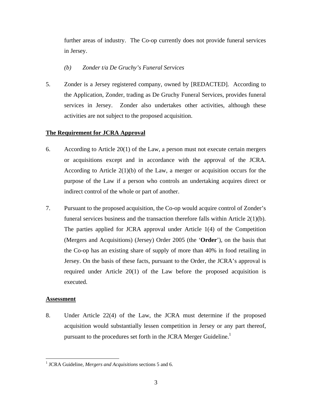further areas of industry. The Co-op currently does not provide funeral services in Jersey.

- *(b) Zonder t/a De Gruchy's Funeral Services*
- 5. Zonder is a Jersey registered company, owned by [REDACTED]. According to the Application, Zonder, trading as De Gruchy Funeral Services, provides funeral services in Jersey. Zonder also undertakes other activities, although these activities are not subject to the proposed acquisition.

### **The Requirement for JCRA Approval**

- 6. According to Article 20(1) of the Law, a person must not execute certain mergers or acquisitions except and in accordance with the approval of the JCRA. According to Article 2(1)(b) of the Law, a merger or acquisition occurs for the purpose of the Law if a person who controls an undertaking acquires direct or indirect control of the whole or part of another.
- 7. Pursuant to the proposed acquisition, the Co-op would acquire control of Zonder's funeral services business and the transaction therefore falls within Article 2(1)(b). The parties applied for JCRA approval under Article 1(4) of the Competition (Mergers and Acquisitions) (Jersey) Order 2005 (the '**Order**'), on the basis that the Co-op has an existing share of supply of more than 40% in food retailing in Jersey. On the basis of these facts, pursuant to the Order, the JCRA's approval is required under Article 20(1) of the Law before the proposed acquisition is executed.

### **Assessment**

 $\overline{a}$ 

8. Under Article 22(4) of the Law, the JCRA must determine if the proposed acquisition would substantially lessen competition in Jersey or any part thereof, pursuant to the procedures set forth in the JCRA Merger Guideline.<sup>1</sup>

<sup>&</sup>lt;sup>1</sup> JCRA Guideline, *Mergers and Acquisitions* sections 5 and 6.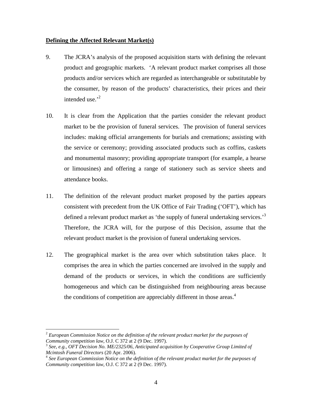#### **Defining the Affected Relevant Market(s)**

- 9. The JCRA's analysis of the proposed acquisition starts with defining the relevant product and geographic markets. 'A relevant product market comprises all those products and/or services which are regarded as interchangeable or substitutable by the consumer, by reason of the products' characteristics, their prices and their intended use. $2^2$
- 10. It is clear from the Application that the parties consider the relevant product market to be the provision of funeral services. The provision of funeral services includes: making official arrangements for burials and cremations; assisting with the service or ceremony; providing associated products such as coffins, caskets and monumental masonry; providing appropriate transport (for example, a hearse or limousines) and offering a range of stationery such as service sheets and attendance books.
- 11. The definition of the relevant product market proposed by the parties appears consistent with precedent from the UK Office of Fair Trading ('OFT'), which has defined a relevant product market as 'the supply of funeral undertaking services.'<sup>3</sup> Therefore, the JCRA will, for the purpose of this Decision, assume that the relevant product market is the provision of funeral undertaking services.
- 12. The geographical market is the area over which substitution takes place. It comprises the area in which the parties concerned are involved in the supply and demand of the products or services, in which the conditions are sufficiently homogeneous and which can be distinguished from neighbouring areas because the conditions of competition are appreciably different in those areas.<sup>4</sup>

 $\overline{a}$ 

<sup>2</sup> *European Commission Notice on the definition of the relevant product market for the purposes of* 

*Community competition law, O.J. C 372 at 2 (9 Dec. 1997).*<br><sup>3</sup> *See, e.g., OFT Decision No. ME/2325/06, Anticipated acquisition by Cooperative Group Limited of Mcintosh Funeral Directors (20 Apr. 2006).* 

<sup>&</sup>lt;sup>4</sup> See European Commission Notice on the definition of the relevant product market for the purposes of *Community competition law*, O.J. C 372 at 2 (9 Dec. 1997).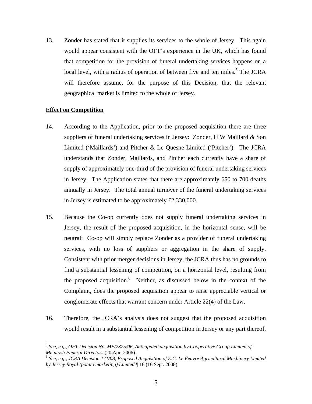13. Zonder has stated that it supplies its services to the whole of Jersey. This again would appear consistent with the OFT's experience in the UK, which has found that competition for the provision of funeral undertaking services happens on a local level, with a radius of operation of between five and ten miles.<sup>5</sup> The JCRA will therefore assume, for the purpose of this Decision, that the relevant geographical market is limited to the whole of Jersey.

#### **Effect on Competition**

<u>.</u>

- 14. According to the Application, prior to the proposed acquisition there are three suppliers of funeral undertaking services in Jersey: Zonder, H W Maillard & Son Limited ('Maillards') and Pitcher & Le Quesne Limited ('Pitcher'). The JCRA understands that Zonder, Maillards, and Pitcher each currently have a share of supply of approximately one-third of the provision of funeral undertaking services in Jersey. The Application states that there are approximately 650 to 700 deaths annually in Jersey. The total annual turnover of the funeral undertaking services in Jersey is estimated to be approximately £2,330,000.
- 15. Because the Co-op currently does not supply funeral undertaking services in Jersey, the result of the proposed acquisition, in the horizontal sense, will be neutral: Co-op will simply replace Zonder as a provider of funeral undertaking services, with no loss of suppliers or aggregation in the share of supply. Consistent with prior merger decisions in Jersey, the JCRA thus has no grounds to find a substantial lessening of competition, on a horizontal level, resulting from the proposed acquisition.<sup>6</sup> Neither, as discussed below in the context of the Complaint, does the proposed acquisition appear to raise appreciable vertical or conglomerate effects that warrant concern under Article 22(4) of the Law.
- 16. Therefore, the JCRA's analysis does not suggest that the proposed acquisition would result in a substantial lessening of competition in Jersey or any part thereof.

<sup>5</sup> *See, e.g., OFT Decision No. ME/2325/06, Anticipated acquisition by Cooperative Group Limited of* 

<sup>&</sup>lt;sup>6</sup> See, e.g., JCRA Decision 171/08, Proposed Acquisition of E.C. Le Feuvre Agricultural Machinery Limited *by Jersey Royal (potato marketing) Limited* ¶ 16 (16 Sept. 2008).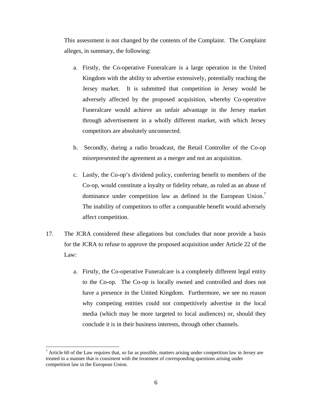This assessment is not changed by the contents of the Complaint. The Complaint alleges, in summary, the following:

- a. Firstly, the Co-operative Funeralcare is a large operation in the United Kingdom with the ability to advertise extensively, potentially reaching the Jersey market. It is submitted that competition in Jersey would be adversely affected by the proposed acquisition, whereby Co-operative Funeralcare would achieve an unfair advantage in the Jersey market through advertisement in a wholly different market, with which Jersey competitors are absolutely unconnected.
- b. Secondly, during a radio broadcast, the Retail Controller of the Co-op misrepresented the agreement as a merger and not an acquisition.
- c. Lastly, the Co-op's dividend policy, conferring benefit to members of the Co-op, would constitute a loyalty or fidelity rebate, as ruled as an abuse of dominance under competition law as defined in the European Union.<sup>7</sup> The inability of competitors to offer a comparable benefit would adversely affect competition.
- 17. The JCRA considered these allegations but concludes that none provide a basis for the JCRA to refuse to approve the proposed acquisition under Article 22 of the Law:
	- a. Firstly, the Co-operative Funeralcare is a completely different legal entity to the Co-op. The Co-op is locally owned and controlled and does not have a presence in the United Kingdom. Furthermore, we see no reason why competing entities could not competitively advertise in the local media (which may be more targeted to local audiences) or, should they conclude it is in their business interests, through other channels.

1

 $<sup>7</sup>$  Article 60 of the Law requires that, so far as possible, matters arising under competition law in Jersey are</sup> treated in a manner that is consistent with the treatment of corresponding questions arising under competition law in the European Union.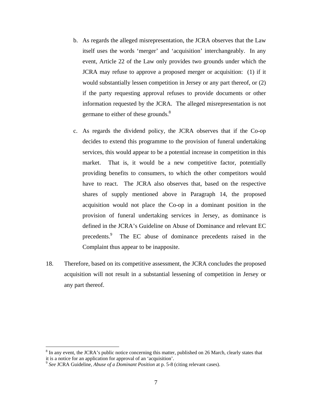- b. As regards the alleged misrepresentation, the JCRA observes that the Law itself uses the words 'merger' and 'acquisition' interchangeably. In any event, Article 22 of the Law only provides two grounds under which the JCRA may refuse to approve a proposed merger or acquisition: (1) if it would substantially lessen competition in Jersey or any part thereof, or (2) if the party requesting approval refuses to provide documents or other information requested by the JCRA. The alleged misrepresentation is not germane to either of these grounds.<sup>8</sup>
- c. As regards the dividend policy, the JCRA observes that if the Co-op decides to extend this programme to the provision of funeral undertaking services, this would appear to be a potential increase in competition in this market. That is, it would be a new competitive factor, potentially providing benefits to consumers, to which the other competitors would have to react. The JCRA also observes that, based on the respective shares of supply mentioned above in Paragraph 14, the proposed acquisition would not place the Co-op in a dominant position in the provision of funeral undertaking services in Jersey, as dominance is defined in the JCRA's Guideline on Abuse of Dominance and relevant EC precedents.<sup>9</sup> The EC abuse of dominance precedents raised in the Complaint thus appear to be inapposite.
- 18. Therefore, based on its competitive assessment, the JCRA concludes the proposed acquisition will not result in a substantial lessening of competition in Jersey or any part thereof.

 $\overline{a}$ 

<sup>&</sup>lt;sup>8</sup> In any event, the JCRA's public notice concerning this matter, published on 26 March, clearly states that it is a notice for an application for approval of an 'acquisition'.

<sup>9</sup> *See* JCRA Guideline, *Abuse of a Dominant Position* at p. 5-8 (citing relevant cases).